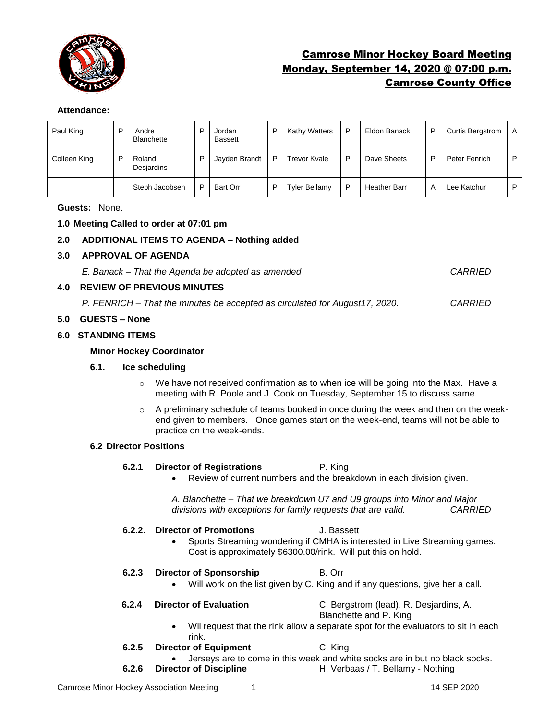

# Camrose Minor Hockey Board Meeting Monday, September 14, 2020 @ 07:00 p.m. Camrose County Office

# **Attendance:**

| Paul King    |   | Andre<br><b>Blanchette</b> | D | Jordan<br><b>Bassett</b> | P | Kathy Watters        | D | Eldon Banack        | P | Curtis Bergstrom | A |
|--------------|---|----------------------------|---|--------------------------|---|----------------------|---|---------------------|---|------------------|---|
| Colleen King | D | Roland<br>Desjardins       | D | Jayden Brandt            | P | Trevor Kvale         | D | Dave Sheets         | P | Peter Fenrich    | P |
|              |   | Steph Jacobsen             | D | Bart Orr                 | P | <b>Tyler Bellamy</b> | D | <b>Heather Barr</b> | А | Lee Katchur      | D |

**Guests:** None.

### **1.0 Meeting Called to order at 07:01 pm**

# **2.0 ADDITIONAL ITEMS TO AGENDA – Nothing added**

**3.0 APPROVAL OF AGENDA**

*E. Banack – That the Agenda be adopted as amended CARRIED*

#### **4.0 REVIEW OF PREVIOUS MINUTES**

*P. FENRICH – That the minutes be accepted as circulated for August17, 2020. CARRIED*

### **5.0 GUESTS – None**

### **6.0 STANDING ITEMS**

#### **Minor Hockey Coordinator**

#### **6.1. Ice scheduling**

- $\circ$  We have not received confirmation as to when ice will be going into the Max. Have a meeting with R. Poole and J. Cook on Tuesday, September 15 to discuss same.
- $\circ$  A preliminary schedule of teams booked in once during the week and then on the weekend given to members. Once games start on the week-end, teams will not be able to practice on the week-ends.

#### **6.2 Director Positions**

- **6.2.1 Director of Registrations** P. King
	- Review of current numbers and the breakdown in each division given.

*A. Blanchette – That we breakdown U7 and U9 groups into Minor and Major divisions with exceptions for family requests that are valid. CARRIED*

#### **6.2.2. Director of Promotions** J. Bassett

- Sports Streaming wondering if CMHA is interested in Live Streaming games. Cost is approximately \$6300.00/rink. Will put this on hold.
- **6.2.3 Director of Sponsorship B. Orr** 
	- Will work on the list given by C. King and if any questions, give her a call.

**6.2.4 Director of Evaluation** C. Bergstrom (lead), R. Desjardins, A.

- Blanchette and P. King
- Wil request that the rink allow a separate spot for the evaluators to sit in each rink.
- **6.2.5 Director of Equipment** C. King
	-
- Jerseys are to come in this week and white socks are in but no black socks. **6.2.6 Director of Discipline** H. Verbaas / T. Bellamy - Nothing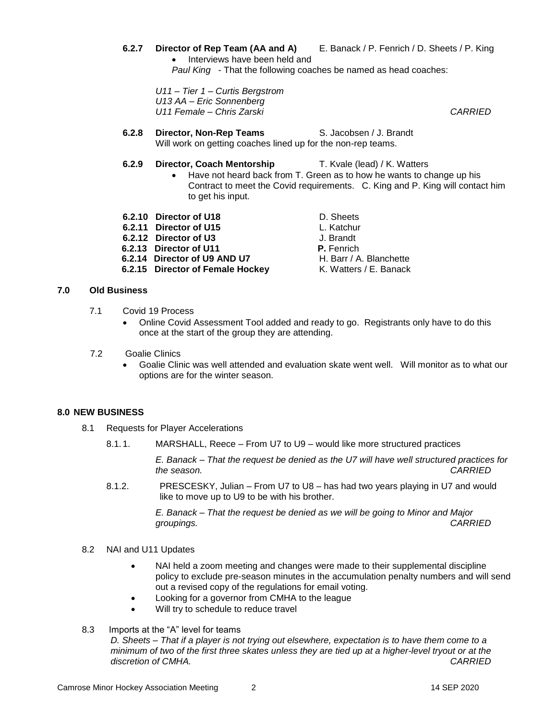**6.2.7 Director of Rep Team (AA and A)** E. Banack / P. Fenrich / D. Sheets / P. King • Interviews have been held and *Paul King* - That the following coaches be named as head coaches:

*U11 – Tier 1 – Curtis Bergstrom U13 AA – Eric Sonnenberg U11 Female – Chris Zarski CARRIED*

**6.2.8 Director, Non-Rep Teams** S. Jacobsen / J. Brandt Will work on getting coaches lined up for the non-rep teams.

#### **6.2.9 Director, Coach Mentorship** T. Kvale (lead) / K. Watters

- Have not heard back from T. Green as to how he wants to change up his Contract to meet the Covid requirements. C. King and P. King will contact him to get his input.
- **6.2.10 Director of U18** D. Sheets
- **6.2.11 Director of U15** L. Katchur
- **6.2.12 Director of U3** J. Brandt
- **6.2.13 Director of U11 P.** Fenrich
- **6.2.14 Director of U9 AND U7**
- **6.2.15 Director of Female Hockey** K. Watters / E. Banack
- **7.0 Old Business**
	- 7.1 Covid 19 Process
		- Online Covid Assessment Tool added and ready to go. Registrants only have to do this once at the start of the group they are attending.
	- 7.2 Goalie Clinics
		- Goalie Clinic was well attended and evaluation skate went well. Will monitor as to what our options are for the winter season.

#### **8.0 NEW BUSINESS**

- 8.1 Requests for Player Accelerations
	- 8.1. 1. MARSHALL, Reece From U7 to U9 would like more structured practices

*E. Banack – That the request be denied as the U7 will have well structured practices for the season. CARRIED*

8.1.2. PRESCESKY, Julian – From U7 to U8 – has had two years playing in U7 and would like to move up to U9 to be with his brother.

> *E. Banack – That the request be denied as we will be going to Minor and Major groupings. CARRIED*

#### 8.2 NAI and U11 Updates

- NAI held a zoom meeting and changes were made to their supplemental discipline policy to exclude pre-season minutes in the accumulation penalty numbers and will send out a revised copy of the regulations for email voting.
- Looking for a governor from CMHA to the league
- Will try to schedule to reduce travel
- 8.3 Imports at the "A" level for teams

*D. Sheets – That if a player is not trying out elsewhere, expectation is to have them come to a minimum of two of the first three skates unless they are tied up at a higher-level tryout or at the discretion of CMHA. CARRIED*